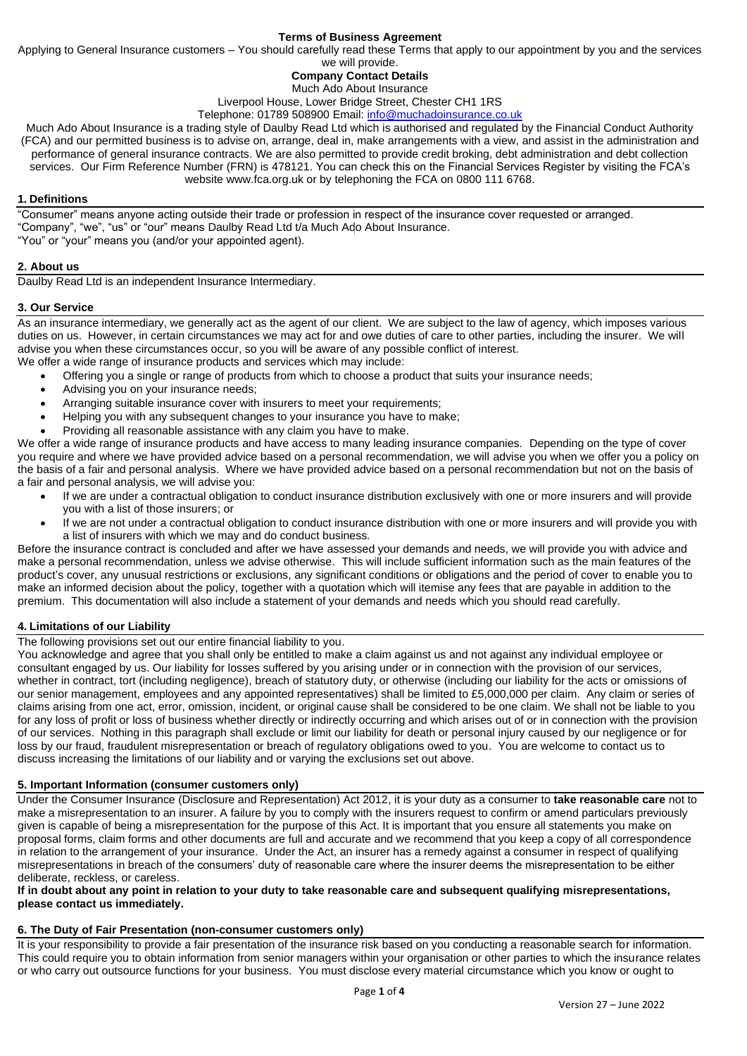#### **Terms of Business Agreement**

Applying to General Insurance customers – You should carefully read these Terms that apply to our appointment by you and the services

we will provide.

#### **Company Contact Details** Much Ado About Insurance

Liverpool House, Lower Bridge Street, Chester CH1 1RS Telephone: 01789 508900 Email: [info@muchadoinsurance.co.uk](mailto:info@muchadoinsurance.co.uk)

Much Ado About Insurance is a trading style of Daulby Read Ltd which is authorised and regulated by the Financial Conduct Authority (FCA) and our permitted business is to advise on, arrange, deal in, make arrangements with a view, and assist in the administration and performance of general insurance contracts. We are also permitted to provide credit broking, debt administration and debt collection services. Our Firm Reference Number (FRN) is 478121. You can check this on the Financial Services Register by visiting the FCA's website www.fca.org.uk or by telephoning the FCA on 0800 111 6768.

# **1. Definitions**

"Consumer" means anyone acting outside their trade or profession in respect of the insurance cover requested or arranged. "Company", "we", "us" or "our" means Daulby Read Ltd t/a Much Ado About Insurance. "You" or "your" means you (and/or your appointed agent).

# **2. About us**

Daulby Read Ltd is an independent Insurance Intermediary.

# **3. Our Service**

As an insurance intermediary, we generally act as the agent of our client. We are subject to the law of agency, which imposes various duties on us. However, in certain circumstances we may act for and owe duties of care to other parties, including the insurer. We will advise you when these circumstances occur, so you will be aware of any possible conflict of interest.

We offer a wide range of insurance products and services which may include:

- Offering you a single or range of products from which to choose a product that suits your insurance needs;
- Advising you on your insurance needs;
- Arranging suitable insurance cover with insurers to meet your requirements;
- Helping you with any subsequent changes to your insurance you have to make;
- Providing all reasonable assistance with any claim you have to make.

We offer a wide range of insurance products and have access to many leading insurance companies. Depending on the type of cover you require and where we have provided advice based on a personal recommendation, we will advise you when we offer you a policy on the basis of a fair and personal analysis. Where we have provided advice based on a personal recommendation but not on the basis of a fair and personal analysis, we will advise you:

- If we are under a contractual obligation to conduct insurance distribution exclusively with one or more insurers and will provide you with a list of those insurers; or
- If we are not under a contractual obligation to conduct insurance distribution with one or more insurers and will provide you with a list of insurers with which we may and do conduct business.

Before the insurance contract is concluded and after we have assessed your demands and needs, we will provide you with advice and make a personal recommendation, unless we advise otherwise. This will include sufficient information such as the main features of the product's cover, any unusual restrictions or exclusions, any significant conditions or obligations and the period of cover to enable you to make an informed decision about the policy, together with a quotation which will itemise any fees that are payable in addition to the premium. This documentation will also include a statement of your demands and needs which you should read carefully.

# **4. Limitations of our Liability**

The following provisions set out our entire financial liability to you.

You acknowledge and agree that you shall only be entitled to make a claim against us and not against any individual employee or consultant engaged by us. Our liability for losses suffered by you arising under or in connection with the provision of our services, whether in contract, tort (including negligence), breach of statutory duty, or otherwise (including our liability for the acts or omissions of our senior management, employees and any appointed representatives) shall be limited to £5,000,000 per claim. Any claim or series of claims arising from one act, error, omission, incident, or original cause shall be considered to be one claim. We shall not be liable to you for any loss of profit or loss of business whether directly or indirectly occurring and which arises out of or in connection with the provision of our services. Nothing in this paragraph shall exclude or limit our liability for death or personal injury caused by our negligence or for loss by our fraud, fraudulent misrepresentation or breach of regulatory obligations owed to you. You are welcome to contact us to discuss increasing the limitations of our liability and or varying the exclusions set out above.

# **5. Important Information (consumer customers only)**

Under the Consumer Insurance (Disclosure and Representation) Act 2012, it is your duty as a consumer to **take reasonable care** not to make a misrepresentation to an insurer. A failure by you to comply with the insurers request to confirm or amend particulars previously given is capable of being a misrepresentation for the purpose of this Act. It is important that you ensure all statements you make on proposal forms, claim forms and other documents are full and accurate and we recommend that you keep a copy of all correspondence in relation to the arrangement of your insurance. Under the Act, an insurer has a remedy against a consumer in respect of qualifying misrepresentations in breach of the consumers' duty of reasonable care where the insurer deems the misrepresentation to be either deliberate, reckless, or careless.

#### **If in doubt about any point in relation to your duty to take reasonable care and subsequent qualifying misrepresentations, please contact us immediately.**

# **6. The Duty of Fair Presentation (non-consumer customers only)**

It is your responsibility to provide a fair presentation of the insurance risk based on you conducting a reasonable search for information. This could require you to obtain information from senior managers within your organisation or other parties to which the insurance relates or who carry out outsource functions for your business. You must disclose every material circumstance which you know or ought to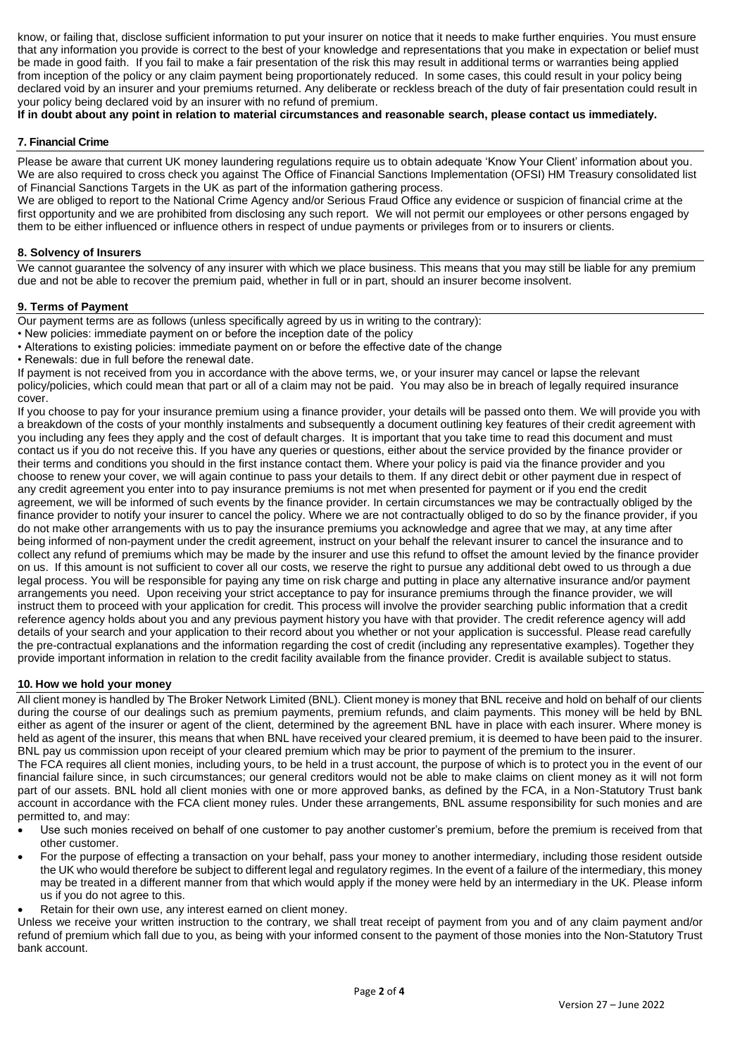know, or failing that, disclose sufficient information to put your insurer on notice that it needs to make further enquiries. You must ensure that any information you provide is correct to the best of your knowledge and representations that you make in expectation or belief must be made in good faith. If you fail to make a fair presentation of the risk this may result in additional terms or warranties being applied from inception of the policy or any claim payment being proportionately reduced. In some cases, this could result in your policy being declared void by an insurer and your premiums returned. Any deliberate or reckless breach of the duty of fair presentation could result in your policy being declared void by an insurer with no refund of premium.

# **If in doubt about any point in relation to material circumstances and reasonable search, please contact us immediately.**

# **7. Financial Crime**

Please be aware that current UK money laundering regulations require us to obtain adequate 'Know Your Client' information about you. We are also required to cross check you against The Office of Financial Sanctions Implementation (OFSI) HM Treasury consolidated list of Financial Sanctions Targets in the UK as part of the information gathering process.

We are obliged to report to the National Crime Agency and/or Serious Fraud Office any evidence or suspicion of financial crime at the first opportunity and we are prohibited from disclosing any such report. We will not permit our employees or other persons engaged by them to be either influenced or influence others in respect of undue payments or privileges from or to insurers or clients.

#### **8. Solvency of Insurers**

We cannot guarantee the solvency of any insurer with which we place business. This means that you may still be liable for any premium due and not be able to recover the premium paid, whether in full or in part, should an insurer become insolvent.

# **9. Terms of Payment**

Our payment terms are as follows (unless specifically agreed by us in writing to the contrary):

- New policies: immediate payment on or before the inception date of the policy
- Alterations to existing policies: immediate payment on or before the effective date of the change
- Renewals: due in full before the renewal date.

If payment is not received from you in accordance with the above terms, we, or your insurer may cancel or lapse the relevant policy/policies, which could mean that part or all of a claim may not be paid. You may also be in breach of legally required insurance cover.

If you choose to pay for your insurance premium using a finance provider, your details will be passed onto them. We will provide you with a breakdown of the costs of your monthly instalments and subsequently a document outlining key features of their credit agreement with you including any fees they apply and the cost of default charges. It is important that you take time to read this document and must contact us if you do not receive this. If you have any queries or questions, either about the service provided by the finance provider or their terms and conditions you should in the first instance contact them. Where your policy is paid via the finance provider and you choose to renew your cover, we will again continue to pass your details to them. If any direct debit or other payment due in respect of any credit agreement you enter into to pay insurance premiums is not met when presented for payment or if you end the credit agreement, we will be informed of such events by the finance provider. In certain circumstances we may be contractually obliged by the finance provider to notify your insurer to cancel the policy. Where we are not contractually obliged to do so by the finance provider, if you do not make other arrangements with us to pay the insurance premiums you acknowledge and agree that we may, at any time after being informed of non-payment under the credit agreement, instruct on your behalf the relevant insurer to cancel the insurance and to collect any refund of premiums which may be made by the insurer and use this refund to offset the amount levied by the finance provider on us. If this amount is not sufficient to cover all our costs, we reserve the right to pursue any additional debt owed to us through a due legal process. You will be responsible for paying any time on risk charge and putting in place any alternative insurance and/or payment arrangements you need. Upon receiving your strict acceptance to pay for insurance premiums through the finance provider, we will instruct them to proceed with your application for credit. This process will involve the provider searching public information that a credit reference agency holds about you and any previous payment history you have with that provider. The credit reference agency will add details of your search and your application to their record about you whether or not your application is successful. Please read carefully the pre-contractual explanations and the information regarding the cost of credit (including any representative examples). Together they provide important information in relation to the credit facility available from the finance provider. Credit is available subject to status.

# **10. How we hold your money**

All client money is handled by The Broker Network Limited (BNL). Client money is money that BNL receive and hold on behalf of our clients during the course of our dealings such as premium payments, premium refunds, and claim payments. This money will be held by BNL either as agent of the insurer or agent of the client, determined by the agreement BNL have in place with each insurer. Where money is held as agent of the insurer, this means that when BNL have received your cleared premium, it is deemed to have been paid to the insurer. BNL pay us commission upon receipt of your cleared premium which may be prior to payment of the premium to the insurer.

The FCA requires all client monies, including yours, to be held in a trust account, the purpose of which is to protect you in the event of our financial failure since, in such circumstances; our general creditors would not be able to make claims on client money as it will not form part of our assets. BNL hold all client monies with one or more approved banks, as defined by the FCA, in a Non-Statutory Trust bank account in accordance with the FCA client money rules. Under these arrangements, BNL assume responsibility for such monies and are permitted to, and may:

- Use such monies received on behalf of one customer to pay another customer's premium, before the premium is received from that other customer.
- For the purpose of effecting a transaction on your behalf, pass your money to another intermediary, including those resident outside the UK who would therefore be subject to different legal and regulatory regimes. In the event of a failure of the intermediary, this money may be treated in a different manner from that which would apply if the money were held by an intermediary in the UK. Please inform us if you do not agree to this.
- Retain for their own use, any interest earned on client money.

Unless we receive your written instruction to the contrary, we shall treat receipt of payment from you and of any claim payment and/or refund of premium which fall due to you, as being with your informed consent to the payment of those monies into the Non-Statutory Trust bank account.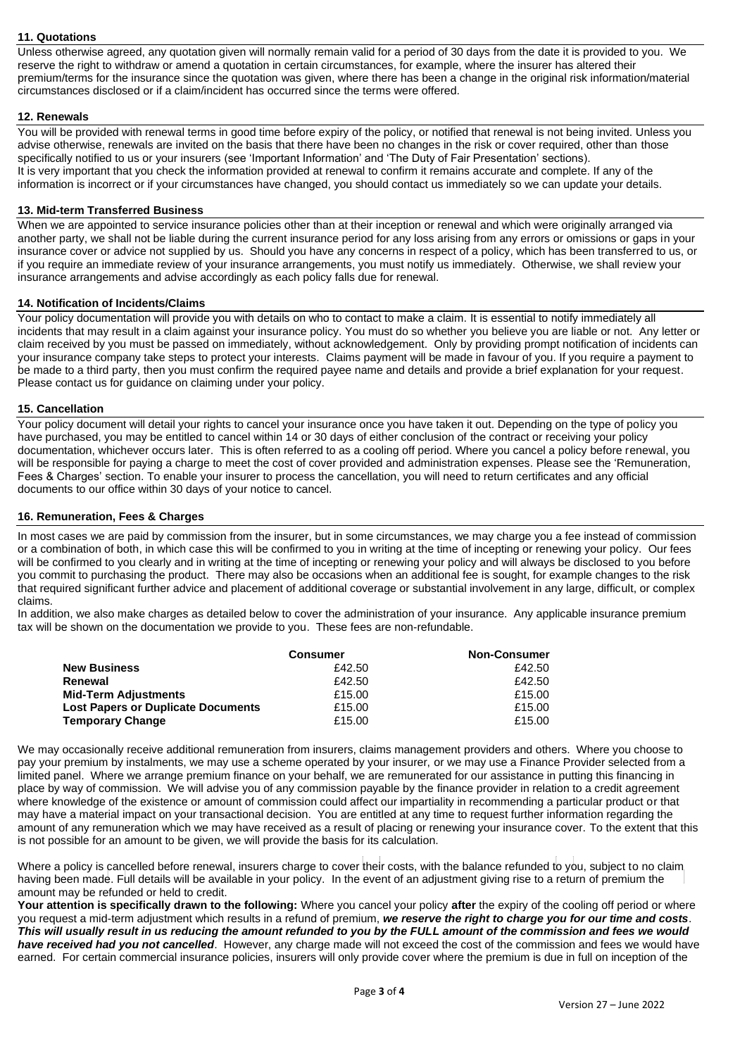# **11. Quotations**

Unless otherwise agreed, any quotation given will normally remain valid for a period of 30 days from the date it is provided to you. We reserve the right to withdraw or amend a quotation in certain circumstances, for example, where the insurer has altered their premium/terms for the insurance since the quotation was given, where there has been a change in the original risk information/material circumstances disclosed or if a claim/incident has occurred since the terms were offered.

# **12. Renewals**

You will be provided with renewal terms in good time before expiry of the policy, or notified that renewal is not being invited. Unless you advise otherwise, renewals are invited on the basis that there have been no changes in the risk or cover required, other than those specifically notified to us or your insurers (see 'Important Information' and 'The Duty of Fair Presentation' sections). It is very important that you check the information provided at renewal to confirm it remains accurate and complete. If any of the information is incorrect or if your circumstances have changed, you should contact us immediately so we can update your details.

# **13. Mid-term Transferred Business**

When we are appointed to service insurance policies other than at their inception or renewal and which were originally arranged via another party, we shall not be liable during the current insurance period for any loss arising from any errors or omissions or gaps in your insurance cover or advice not supplied by us. Should you have any concerns in respect of a policy, which has been transferred to us, or if you require an immediate review of your insurance arrangements, you must notify us immediately. Otherwise, we shall review your insurance arrangements and advise accordingly as each policy falls due for renewal.

# **14. Notification of Incidents/Claims**

Your policy documentation will provide you with details on who to contact to make a claim. It is essential to notify immediately all incidents that may result in a claim against your insurance policy. You must do so whether you believe you are liable or not. Any letter or claim received by you must be passed on immediately, without acknowledgement. Only by providing prompt notification of incidents can your insurance company take steps to protect your interests. Claims payment will be made in favour of you. If you require a payment to be made to a third party, then you must confirm the required payee name and details and provide a brief explanation for your request. Please contact us for guidance on claiming under your policy.

# **15. Cancellation**

Your policy document will detail your rights to cancel your insurance once you have taken it out. Depending on the type of policy you have purchased, you may be entitled to cancel within 14 or 30 days of either conclusion of the contract or receiving your policy documentation, whichever occurs later. This is often referred to as a cooling off period. Where you cancel a policy before renewal, you will be responsible for paying a charge to meet the cost of cover provided and administration expenses. Please see the 'Remuneration, Fees & Charges' section. To enable your insurer to process the cancellation, you will need to return certificates and any official documents to our office within 30 days of your notice to cancel.

# **16. Remuneration, Fees & Charges**

In most cases we are paid by commission from the insurer, but in some circumstances, we may charge you a fee instead of commission or a combination of both, in which case this will be confirmed to you in writing at the time of incepting or renewing your policy. Our fees will be confirmed to you clearly and in writing at the time of incepting or renewing your policy and will always be disclosed to you before you commit to purchasing the product. There may also be occasions when an additional fee is sought, for example changes to the risk that required significant further advice and placement of additional coverage or substantial involvement in any large, difficult, or complex claims.

In addition, we also make charges as detailed below to cover the administration of your insurance. Any applicable insurance premium tax will be shown on the documentation we provide to you. These fees are non-refundable.

|                                           | <b>Consumer</b> | <b>Non-Consumer</b> |
|-------------------------------------------|-----------------|---------------------|
| <b>New Business</b>                       | £42.50          | £42.50              |
| Renewal                                   | £42.50          | £42.50              |
| <b>Mid-Term Adjustments</b>               | £15.00          | £15.00              |
| <b>Lost Papers or Duplicate Documents</b> | £15.00          | £15.00              |
| <b>Temporary Change</b>                   | £15.00          | £15.00              |

We may occasionally receive additional remuneration from insurers, claims management providers and others. Where you choose to pay your premium by instalments, we may use a scheme operated by your insurer, or we may use a Finance Provider selected from a limited panel. Where we arrange premium finance on your behalf, we are remunerated for our assistance in putting this financing in place by way of commission. We will advise you of any commission payable by the finance provider in relation to a credit agreement where knowledge of the existence or amount of commission could affect our impartiality in recommending a particular product or that may have a material impact on your transactional decision. You are entitled at any time to request further information regarding the amount of any remuneration which we may have received as a result of placing or renewing your insurance cover. To the extent that this is not possible for an amount to be given, we will provide the basis for its calculation.

Where a policy is cancelled before renewal, insurers charge to cover their costs, with the balance refunded to you, subject to no claim having been made. Full details will be available in your policy. In the event of an adjustment giving rise to a return of premium the amount may be refunded or held to credit.

**Your attention is specifically drawn to the following:** Where you cancel your policy **after** the expiry of the cooling off period or where you request a mid-term adjustment which results in a refund of premium, *we reserve the right to charge you for our time and costs*. *This will usually result in us reducing the amount refunded to you by the FULL amount of the commission and fees we would have received had you not cancelled*. However, any charge made will not exceed the cost of the commission and fees we would have earned. For certain commercial insurance policies, insurers will only provide cover where the premium is due in full on inception of the